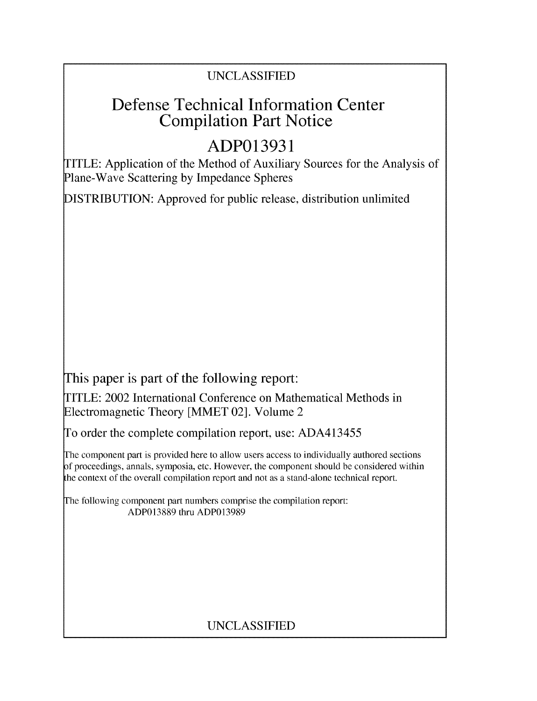## UNCLASSIFIED

## Defense Technical Information Center Compilation Part Notice

# **ADP013931**

TITLE: Application of the Method of Auxiliary Sources for the Analysis of Plane-Wave Scattering by Impedance Spheres

DISTRIBUTION: Approved for public release, distribution unlimited

This paper is part of the following report:

TITLE: 2002 International Conference on Mathematical Methods in Electromagnetic Theory [MMET 02]. Volume 2

To order the complete compilation report, use: ADA413455

The component part is provided here to allow users access to individually authored sections f proceedings, annals, symposia, etc. However, the component should be considered within the context of the overall compilation report and not as a stand-alone technical report.

The following component part numbers comprise the compilation report: ADP013889 thru ADP013989

## UNCLASSIFIED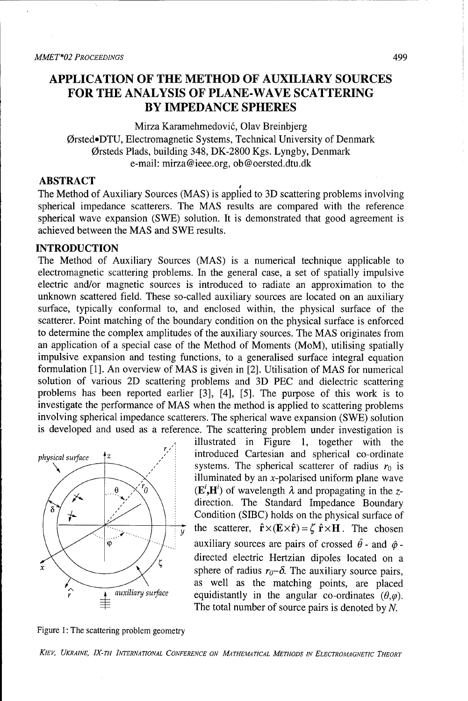### **APPLICATION** OF THE METHOD OF AUXILIARY **SOURCES** FOR THE **ANALYSIS** OF **PLANE-WAVE SCATTERING** BY **IMPEDANCE** SPHERES

Mirza Karamehmedović, Olav Breinbierg Ørsted.DTU, Electromagnetic Systems, Technical University of Denmark Orsteds Plads, building 348, DK-2800 Kgs. Lyngby, Denmark e-mail: mirza@ieee.org, ob @oersted.dtu.dk

#### **ABSTRACT**

The Method of Auxiliary Sources (MAS) is applied to 3D scattering problems involving spherical impedance scatterers. The MAS results are compared with the reference spherical wave expansion (SWE) solution. It is demonstrated that good agreement is achieved between the MAS and SWE results.

#### **INTRODUCTION**

The Method of Auxiliary Sources (MAS) is a numerical technique applicable to electromagnetic scattering problems. In the general case, a set of spatially impulsive electric and/or magnetic sources is introduced to radiate an approximation to the unknown scattered field. These so-called auxiliary sources are located on an auxiliary surface, typically conformal to, and enclosed within, the physical surface of the scatterer. Point matching of the boundary condition on the physical surface is enforced to determine the complex amplitudes of the auxiliary sources. The MAS originates from an application of a special case of the Method of Moments (MoM), utilising spatially impulsive expansion and testing functions, to a generalised surface integral equation formulation [1]. An overview of MAS is given in [2]. Utilisation of MAS for numerical solution of various 2D scattering problems and 3D PEC and dielectric scattering problems has been reported earlier [3], [4], [5]. The purpose of this work is to investigate the performance of MAS when the method is applied to scattering problems involving spherical impedance scatterers. The spherical wave expansion (SWE) solution is developed and used as a reference. The scattering problem under investigation is



illustrated in Figure 1, together with the *physical surface*  $\begin{bmatrix} z \\ z \end{bmatrix}$  introduced Cartesian and spherical co-ordinate systems. The spherical scatterer of radius  $r_0$  is illuminated by an x-polarised uniform plane wave  $r_0 \setminus$  (E<sup>i</sup>,H<sup>i</sup>) of wavelength  $\lambda$  and propagating in the zdirection. The Standard Impedance Boundary Condition (SIBC) holds on the physical surface of the scatterer,  $\hat{\mathbf{r}} \times (\mathbf{E} \times \hat{\mathbf{r}}) = \zeta \hat{\mathbf{r}} \times \mathbf{H}$ . The chosen auxiliary sources are pairs of crossed  $\hat{\theta}$  - and  $\hat{\phi}$  directed electric Hertzian dipoles located on a sphere of radius  $r_0$ - $\delta$ . The auxiliary source pairs, as well as the matching points, are placed auxiliary surface equidistantly in the angular co-ordinates  $(\theta, \varphi)$ . The total number of source pairs is denoted by *N.*

Figure 1: The scattering problem geometry

*KIEV, UKRAINE, IX-TH INTERNATIONAL CONFERENCE ON MATHEMATICAL METHODS IN ELECTROMAGNETIC THEORY*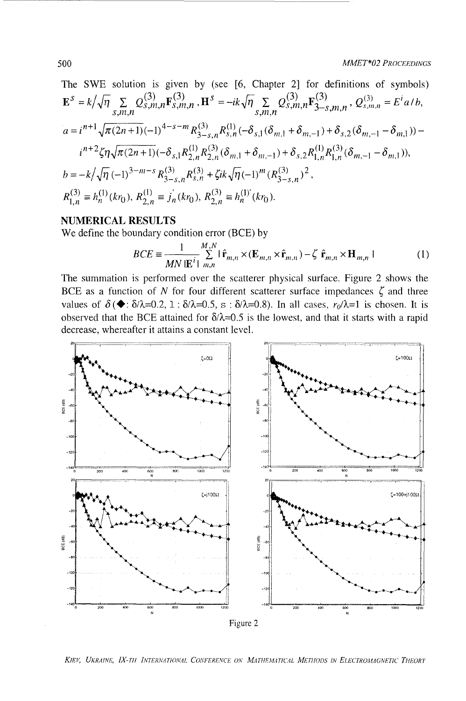**MMET\*02 PROCEEDINGS** 

The SWE solution is given by (see [6, Chapter 2] for definitions of symbols)  
\n
$$
\mathbf{E}^{S} = k/\sqrt{\eta} \sum_{S,m,n} Q_{S,m,n}^{(3)} \mathbf{F}_{S,m,n}^{(3)}, \mathbf{H}^{S} = -ik\sqrt{\eta} \sum_{S,m,n} Q_{S,m,n}^{(3)} \mathbf{F}_{S-S,m,n}^{(3)}, Q_{S,m,n}^{(3)} = E^{i} a/b,
$$
\n
$$
a = i^{n+1} \sqrt{\pi (2n+1)} (-1)^{4-s-m} R_{3-s,n}^{(3)} R_{s,n}^{(1)} (-\delta_{s,1} (\delta_{m,1} + \delta_{m,-1}) + \delta_{s,2} (\delta_{m,-1} - \delta_{m,1})) - i^{n+2} \zeta \eta \sqrt{\pi (2n+1)} (-\delta_{s,1} R_{2,n}^{(1)} \delta_{s,n}^{(3)} (\delta_{m,1} + \delta_{m,-1}) + \delta_{s,2} R_{1,n}^{(1)} R_{1,n}^{(3)} (\delta_{m,-1} - \delta_{m,1})),
$$
\n
$$
b = -k/\sqrt{\eta} (-1)^{3-m-s} R_{3-s,n}^{(3)} R_{s,n}^{(3)} + \zeta ik \sqrt{\eta} (-1)^m (R_{3-s,n}^{(3)})^2,
$$
\n
$$
R_{1,n}^{(3)} = h_n^{(1)} (kr_0), R_{2,n}^{(1)} = j_n^{(1)} (kr_0), R_{2,n}^{(3)} = h_n^{(1)} (kr_0).
$$

#### **NUMERICAL RESULTS**

We define the boundary condition error (BCE) by

$$
BCE \equiv \frac{1}{MN |\mathbf{E}^{i}|} \sum_{m,n}^{M,N} |\hat{\mathbf{r}}_{m,n} \times (\mathbf{E}_{m,n} \times \hat{\mathbf{r}}_{m,n}) - \zeta \hat{\mathbf{r}}_{m,n} \times \mathbf{H}_{m,n} |
$$
 (1)

The summation is performed over the scatterer physical surface. Figure 2 shows the BCE as a function of N for four different scatterer surface impedances  $\zeta$  and three values of  $\delta(\blacklozenge : \delta/\lambda = 0.2, 1 : \delta/\lambda = 0.5, s : \delta/\lambda = 0.8)$ . In all cases,  $r_0/\lambda = 1$  is chosen. It is observed that the BCE attained for  $\delta/\lambda = 0.5$  is the lowest, and that it starts with a rapid decrease, whereafter it attains a constant level.



KIEV, UKRAINE, IX-TH INTERNATIONAL CONFERENCE ON MATHEMATICAL METHODS IN ELECTROMAGNETIC THEORY

500